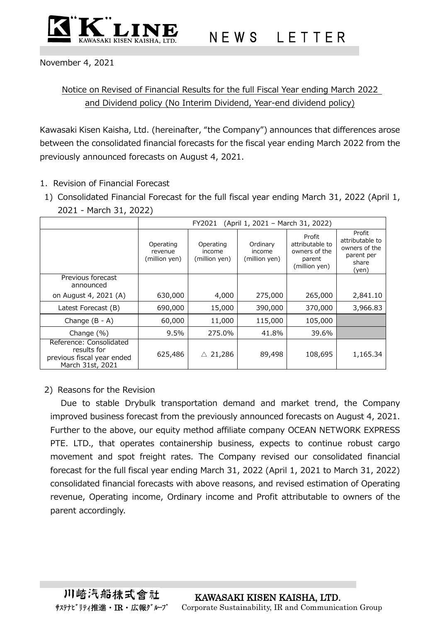

November 4, 2021

## Notice on Revised of Financial Results for the full Fiscal Year ending March 2022 and Dividend policy (No Interim Dividend, Year-end dividend policy)

Kawasaki Kisen Kaisha, Ltd. (hereinafter, "the Company") announces that differences arose between the consolidated financial forecasts for the fiscal year ending March 2022 from the previously announced forecasts on August 4, 2021.

- 1. Revision of Financial Forecast
- 1) Consolidated Financial Forecast for the full fiscal year ending March 31, 2022 (April 1, 2021 - March 31, 2022)

|                                                                                          | (April 1, 2021 - March 31, 2022)<br>FY2021 |                                      |                                     |                                                                       |                                                                            |  |  |
|------------------------------------------------------------------------------------------|--------------------------------------------|--------------------------------------|-------------------------------------|-----------------------------------------------------------------------|----------------------------------------------------------------------------|--|--|
|                                                                                          | Operating<br>revenue<br>(million yen)      | Operating<br>income<br>(million yen) | Ordinary<br>income<br>(million yen) | Profit<br>attributable to<br>owners of the<br>parent<br>(million yen) | Profit<br>attributable to<br>owners of the<br>parent per<br>share<br>(yen) |  |  |
| Previous forecast<br>announced                                                           |                                            |                                      |                                     |                                                                       |                                                                            |  |  |
| on August 4, 2021 (A)                                                                    | 630,000                                    | 4,000                                | 275,000                             | 265,000                                                               | 2,841.10                                                                   |  |  |
| Latest Forecast (B)                                                                      | 690,000                                    | 15,000                               | 390,000                             | 370,000                                                               | 3,966.83                                                                   |  |  |
| Change $(B - A)$                                                                         | 60,000                                     | 11,000                               | 115,000                             | 105,000                                                               |                                                                            |  |  |
| Change $(\%)$                                                                            | 9.5%                                       | 275.0%                               | 41.8%                               | 39.6%                                                                 |                                                                            |  |  |
| Reference: Consolidated<br>results for<br>previous fiscal year ended<br>March 31st, 2021 | 625,486                                    | 21,286<br>Λ                          | 89,498                              | 108,695                                                               | 1,165.34                                                                   |  |  |

## 2) Reasons for the Revision

Due to stable Drybulk transportation demand and market trend, the Company improved business forecast from the previously announced forecasts on August 4, 2021. Further to the above, our equity method affiliate company OCEAN NETWORK EXPRESS PTE. LTD., that operates containership business, expects to continue robust cargo movement and spot freight rates. The Company revised our consolidated financial forecast for the full fiscal year ending March 31, 2022 (April 1, 2021 to March 31, 2022) consolidated financial forecasts with above reasons, and revised estimation of Operating revenue, Operating income, Ordinary income and Profit attributable to owners of the parent accordingly.